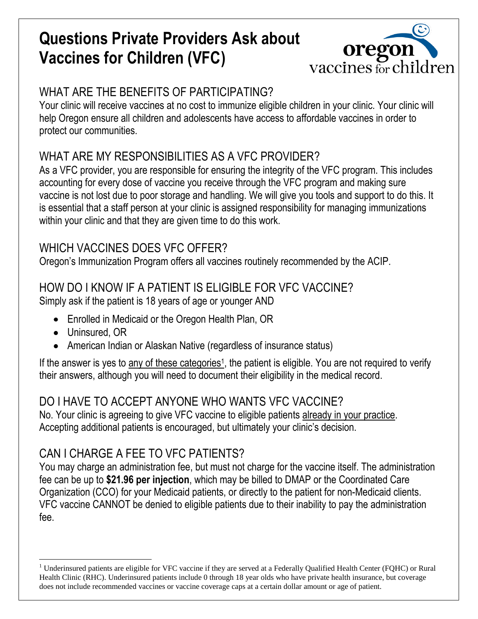# **Questions Private Providers Ask about Vaccines for Children (VFC)**



# WHAT ARE THE BENEFITS OF PARTICIPATING?

Your clinic will receive vaccines at no cost to immunize eligible children in your clinic. Your clinic will help Oregon ensure all children and adolescents have access to affordable vaccines in order to protect our communities.

# WHAT ARE MY RESPONSIBILITIES AS A VFC PROVIDER?

As a VFC provider, you are responsible for ensuring the integrity of the VFC program. This includes accounting for every dose of vaccine you receive through the VFC program and making sure vaccine is not lost due to poor storage and handling. We will give you tools and support to do this. It is essential that a staff person at your clinic is assigned responsibility for managing immunizations within your clinic and that they are given time to do this work.

# WHICH VACCINES DOES VFC OFFER?

Oregon's Immunization Program offers all vaccines routinely recommended by the ACIP.

## HOW DO I KNOW IF A PATIENT IS ELIGIBLE FOR VFC VACCINE?

Simply ask if the patient is 18 years of age or younger AND

- Enrolled in Medicaid or the Oregon Health Plan, OR
- Uninsured, OR
- American Indian or Alaskan Native (regardless of insurance status)

If the answer is yes to any of these categories<sup>1</sup>, the patient is eligible. You are not required to verify their answers, although you will need to document their eligibility in the medical record.

### DO I HAVE TO ACCEPT ANYONE WHO WANTS VFC VACCINE?

No. Your clinic is agreeing to give VFC vaccine to eligible patients already in your practice. Accepting additional patients is encouraged, but ultimately your clinic's decision.

# CAN I CHARGE A FEE TO VFC PATIENTS?

You may charge an administration fee, but must not charge for the vaccine itself. The administration fee can be up to **\$21.96 per injection**, which may be billed to DMAP or the Coordinated Care Organization (CCO) for your Medicaid patients, or directly to the patient for non-Medicaid clients. VFC vaccine CANNOT be denied to eligible patients due to their inability to pay the administration fee.

 $\overline{a}$ <sup>1</sup> Underinsured patients are eligible for VFC vaccine if they are served at a Federally Qualified Health Center (FQHC) or Rural Health Clinic (RHC). Underinsured patients include 0 through 18 year olds who have private health insurance, but coverage does not include recommended vaccines or vaccine coverage caps at a certain dollar amount or age of patient.